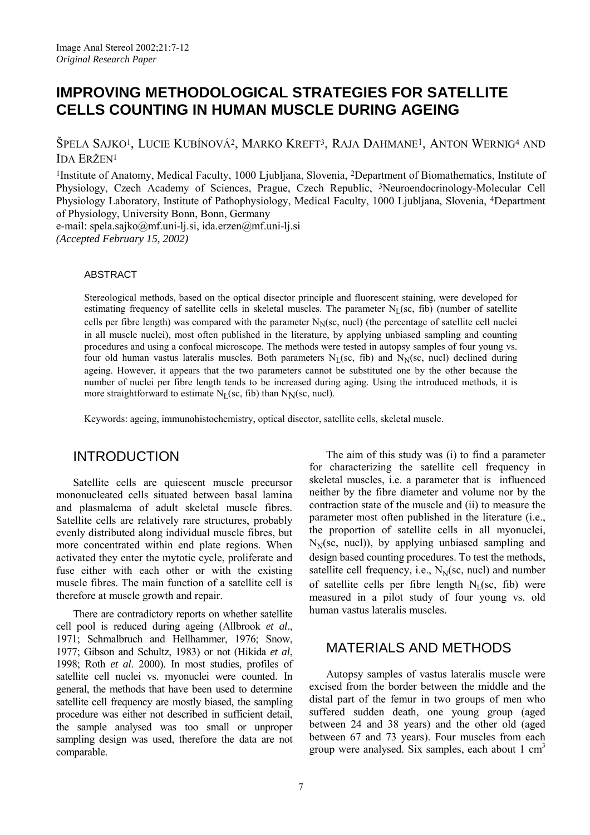# **IMPROVING METHODOLOGICAL STRATEGIES FOR SATELLITE CELLS COUNTING IN HUMAN MUSCLE DURING AGEING**

ŠPELA SAJKO1, LUCIE KUBÍNOVÁ2, MARKO KREFT3, RAJA DAHMANE1, ANTON WERNIG4 AND IDA ERŽEN1

1Institute of Anatomy, Medical Faculty, 1000 Ljubljana, Slovenia, 2Department of Biomathematics, Institute of Physiology, Czech Academy of Sciences, Prague, Czech Republic, 3Neuroendocrinology-Molecular Cell Physiology Laboratory, Institute of Pathophysiology, Medical Faculty, 1000 Ljubljana, Slovenia, 4Department of Physiology, University Bonn, Bonn, Germany

e-mail: spela.sajko@mf.uni-lj.si, ida.erzen@mf.uni-lj.si *(Accepted February 15, 2002)*

#### ABSTRACT

Stereological methods, based on the optical disector principle and fluorescent staining, were developed for estimating frequency of satellite cells in skeletal muscles. The parameter  $N_I$ (sc, fib) (number of satellite cells per fibre length) was compared with the parameter  $N_N$ (sc, nucl) (the percentage of satellite cell nuclei in all muscle nuclei), most often published in the literature, by applying unbiased sampling and counting procedures and using a confocal microscope. The methods were tested in autopsy samples of four young vs. four old human vastus lateralis muscles. Both parameters  $N_L$ (sc, fib) and  $N_N$ (sc, nucl) declined during ageing. However, it appears that the two parameters cannot be substituted one by the other because the number of nuclei per fibre length tends to be increased during aging. Using the introduced methods, it is more straightforward to estimate  $N_L$ (sc, fib) than  $N_N$ (sc, nucl).

Keywords: ageing, immunohistochemistry, optical disector, satellite cells, skeletal muscle.

## INTRODUCTION

Satellite cells are quiescent muscle precursor mononucleated cells situated between basal lamina and plasmalema of adult skeletal muscle fibres. Satellite cells are relatively rare structures, probably evenly distributed along individual muscle fibres, but more concentrated within end plate regions. When activated they enter the mytotic cycle, proliferate and fuse either with each other or with the existing muscle fibres. The main function of a satellite cell is therefore at muscle growth and repair.

There are contradictory reports on whether satellite cell pool is reduced during ageing (Allbrook *et al*., 1971; Schmalbruch and Hellhammer, 1976; Snow, 1977; Gibson and Schultz, 1983) or not (Hikida *et al*, 1998; Roth *et al*. 2000). In most studies, profiles of satellite cell nuclei vs. myonuclei were counted. In general, the methods that have been used to determine satellite cell frequency are mostly biased, the sampling procedure was either not described in sufficient detail, the sample analysed was too small or unproper sampling design was used, therefore the data are not comparable.

The aim of this study was (i) to find a parameter for characterizing the satellite cell frequency in skeletal muscles, i.e. a parameter that is influenced neither by the fibre diameter and volume nor by the contraction state of the muscle and (ii) to measure the parameter most often published in the literature (i.e., the proportion of satellite cells in all myonuclei,  $N<sub>N</sub>(sc, nucl)$ , by applying unbiased sampling and design based counting procedures. To test the methods, satellite cell frequency, i.e.,  $N_{N}(sc, nucl)$  and number of satellite cells per fibre length  $N_{\text{I}}(\text{sc}, \text{fib})$  were measured in a pilot study of four young vs. old human vastus lateralis muscles.

## MATERIALS AND METHODS

Autopsy samples of vastus lateralis muscle were excised from the border between the middle and the distal part of the femur in two groups of men who suffered sudden death, one young group (aged between 24 and 38 years) and the other old (aged between 67 and 73 years). Four muscles from each group were analysed. Six samples, each about 1 cm<sup>3</sup>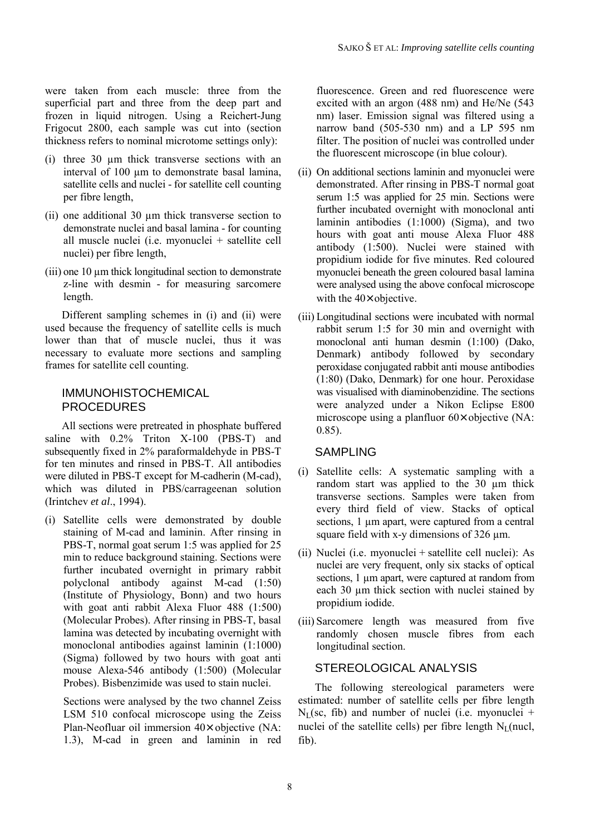were taken from each muscle: three from the superficial part and three from the deep part and frozen in liquid nitrogen. Using a Reichert-Jung Frigocut 2800, each sample was cut into (section thickness refers to nominal microtome settings only):

- (i) three 30 µm thick transverse sections with an interval of 100 um to demonstrate basal lamina, satellite cells and nuclei - for satellite cell counting per fibre length,
- (ii) one additional 30 µm thick transverse section to demonstrate nuclei and basal lamina - for counting all muscle nuclei (i.e. myonuclei + satellite cell nuclei) per fibre length,
- $(iii)$  one 10  $\mu$ m thick longitudinal section to demonstrate z-line with desmin - for measuring sarcomere length.

Different sampling schemes in (i) and (ii) were used because the frequency of satellite cells is much lower than that of muscle nuclei, thus it was necessary to evaluate more sections and sampling frames for satellite cell counting.

### IMMUNOHISTOCHEMICAL PROCEDURES

All sections were pretreated in phosphate buffered saline with 0.2% Triton X-100 (PBS-T) and subsequently fixed in 2% paraformaldehyde in PBS-T for ten minutes and rinsed in PBS-T. All antibodies were diluted in PBS-T except for M-cadherin (M-cad), which was diluted in PBS/carrageenan solution (Irintchev *et al*., 1994).

(i) Satellite cells were demonstrated by double staining of M-cad and laminin. After rinsing in PBS-T, normal goat serum 1:5 was applied for 25 min to reduce background staining. Sections were further incubated overnight in primary rabbit polyclonal antibody against M-cad (1:50) (Institute of Physiology, Bonn) and two hours with goat anti rabbit Alexa Fluor 488 (1:500) (Molecular Probes). After rinsing in PBS-T, basal lamina was detected by incubating overnight with monoclonal antibodies against laminin (1:1000) (Sigma) followed by two hours with goat anti mouse Alexa-546 antibody (1:500) (Molecular Probes). Bisbenzimide was used to stain nuclei.

Sections were analysed by the two channel Zeiss LSM 510 confocal microscope using the Zeiss Plan-Neofluar oil immersion  $40\times$  objective (NA: 1.3), M-cad in green and laminin in red

fluorescence. Green and red fluorescence were excited with an argon (488 nm) and He/Ne (543 nm) laser. Emission signal was filtered using a narrow band (505-530 nm) and a LP 595 nm filter. The position of nuclei was controlled under the fluorescent microscope (in blue colour).

- (ii) On additional sections laminin and myonuclei were demonstrated. After rinsing in PBS-T normal goat serum 1:5 was applied for 25 min. Sections were further incubated overnight with monoclonal anti laminin antibodies (1:1000) (Sigma), and two hours with goat anti mouse Alexa Fluor 488 antibody (1:500). Nuclei were stained with propidium iodide for five minutes. Red coloured myonuclei beneath the green coloured basal lamina were analysed using the above confocal microscope with the  $40\times$  objective.
- (iii) Longitudinal sections were incubated with normal rabbit serum 1:5 for 30 min and overnight with monoclonal anti human desmin (1:100) (Dako, Denmark) antibody followed by secondary peroxidase conjugated rabbit anti mouse antibodies (1:80) (Dako, Denmark) for one hour. Peroxidase was visualised with diaminobenzidine. The sections were analyzed under a Nikon Eclipse E800 microscope using a planfluor 60× objective (NA: 0.85).

### SAMPI ING

- (i) Satellite cells: A systematic sampling with a random start was applied to the 30 um thick transverse sections. Samples were taken from every third field of view. Stacks of optical sections, 1  $\mu$ m apart, were captured from a central square field with x-y dimensions of 326 um.
- (ii) Nuclei (i.e. myonuclei + satellite cell nuclei): As nuclei are very frequent, only six stacks of optical sections, 1  $\mu$ m apart, were captured at random from each 30  $\mu$ m thick section with nuclei stained by propidium iodide.
- (iii) Sarcomere length was measured from five randomly chosen muscle fibres from each longitudinal section.

#### STEREOLOGICAL ANALYSIS

The following stereological parameters were estimated: number of satellite cells per fibre length  $N_{\text{I}}$ (sc, fib) and number of nuclei (i.e. myonuclei + nuclei of the satellite cells) per fibre length  $N_{\text{I}}$ (nucl, fib).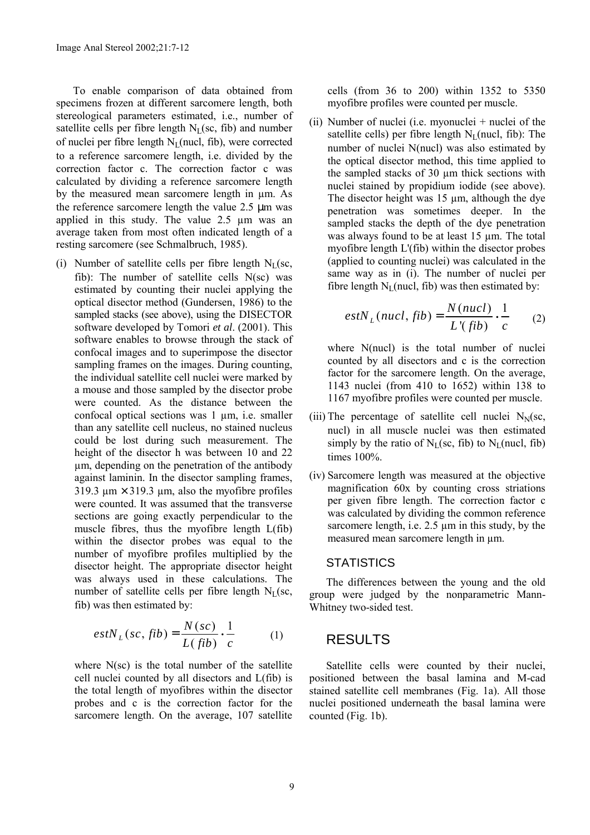To enable comparison of data obtained from specimens frozen at different sarcomere length, both stereological parameters estimated, i.e., number of satellite cells per fibre length  $N_L$ (sc, fib) and number of nuclei per fibre length  $N_L$ (nucl, fib), were corrected to a reference sarcomere length, i.e. divided by the correction factor c. The correction factor c was calculated by dividing a reference sarcomere length by the measured mean sarcomere length in µm. As the reference sarcomere length the value 2.5 µm was applied in this study. The value 2.5 µm was an average taken from most often indicated length of a resting sarcomere (see Schmalbruch, 1985).

(i) Number of satellite cells per fibre length  $N_L$ (sc, fib): The number of satellite cells  $N(\text{sc})$  was estimated by counting their nuclei applying the optical disector method (Gundersen, 1986) to the sampled stacks (see above), using the DISECTOR software developed by Tomori *et al*. (2001). This software enables to browse through the stack of confocal images and to superimpose the disector sampling frames on the images. During counting, the individual satellite cell nuclei were marked by a mouse and those sampled by the disector probe were counted. As the distance between the confocal optical sections was  $1 \mu m$ , i.e. smaller than any satellite cell nucleus, no stained nucleus could be lost during such measurement. The height of the disector h was between 10 and 22 µm, depending on the penetration of the antibody against laminin. In the disector sampling frames, 319.3  $\mu$ m  $\times$  319.3  $\mu$ m, also the myofibre profiles were counted. It was assumed that the transverse sections are going exactly perpendicular to the muscle fibres, thus the myofibre length L(fib) within the disector probes was equal to the number of myofibre profiles multiplied by the disector height. The appropriate disector height was always used in these calculations. The number of satellite cells per fibre length  $N_L$ (sc, fib) was then estimated by:

$$
estN_{L}(sc, fib) = \frac{N(sc)}{L(fib)} \cdot \frac{1}{c}
$$
 (1)

where N(sc) is the total number of the satellite cell nuclei counted by all disectors and L(fib) is the total length of myofibres within the disector probes and c is the correction factor for the sarcomere length. On the average, 107 satellite cells (from 36 to 200) within 1352 to 5350 myofibre profiles were counted per muscle.

(ii) Number of nuclei (i.e. myonuclei + nuclei of the satellite cells) per fibre length  $N_L$ (nucl, fib): The number of nuclei N(nucl) was also estimated by the optical disector method, this time applied to the sampled stacks of 30 µm thick sections with nuclei stained by propidium iodide (see above). The disector height was  $15 \mu m$ , although the dye penetration was sometimes deeper. In the sampled stacks the depth of the dye penetration was always found to be at least 15 µm. The total myofibre length L'(fib) within the disector probes (applied to counting nuclei) was calculated in the same way as in (i). The number of nuclei per fibre length  $N_L$ (nucl, fib) was then estimated by:

$$
estN_{L}(nucl, fib) = \frac{N(nucl)}{L'(fib)} \cdot \frac{1}{c}
$$
 (2)

where N(nucl) is the total number of nuclei counted by all disectors and c is the correction factor for the sarcomere length. On the average, 1143 nuclei (from 410 to 1652) within 138 to 1167 myofibre profiles were counted per muscle.

- (iii) The percentage of satellite cell nuclei  $N<sub>N</sub>(sc,$ nucl) in all muscle nuclei was then estimated simply by the ratio of  $N_L$ (sc, fib) to  $N_L$ (nucl, fib) times 100%.
- (iv) Sarcomere length was measured at the objective magnification 60x by counting cross striations per given fibre length. The correction factor c was calculated by dividing the common reference sarcomere length, i.e. 2.5  $\mu$ m in this study, by the measured mean sarcomere length in µm.

#### **STATISTICS**

The differences between the young and the old group were judged by the nonparametric Mann-Whitney two-sided test.

### RESULTS

Satellite cells were counted by their nuclei, positioned between the basal lamina and M-cad stained satellite cell membranes (Fig. 1a). All those nuclei positioned underneath the basal lamina were counted (Fig. 1b).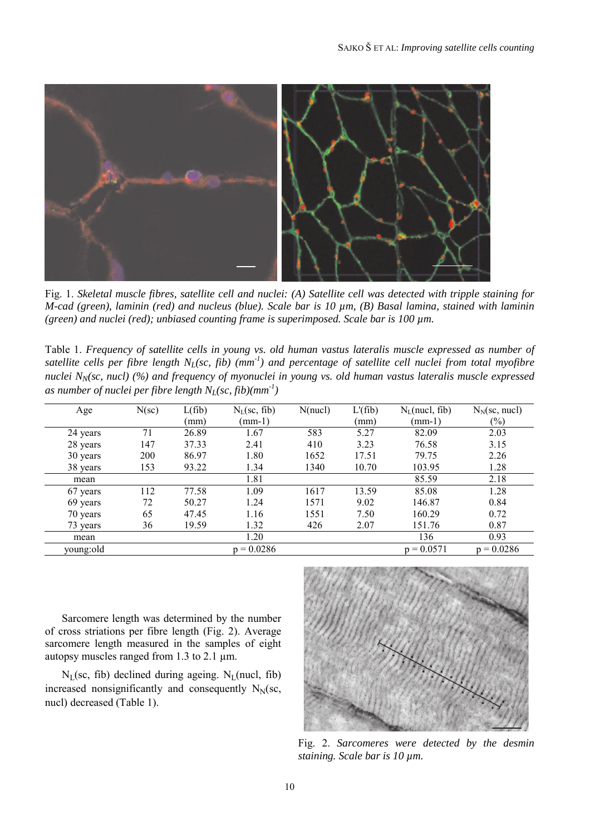

Fig. 1. *Skeletal muscle fibres, satellite cell and nuclei: (A) Satellite cell was detected with tripple staining for M-cad (green), laminin (red) and nucleus (blue). Scale bar is 10 µm, (B) Basal lamina, stained with laminin (green) and nuclei (red); unbiased counting frame is superimposed. Scale bar is 100 µm.*

Table 1. *Frequency of satellite cells in young vs. old human vastus lateralis muscle expressed as number of satellite cells per fibre length NL(sc, fib) (mm-1) and percentage of satellite cell nuclei from total myofibre nuclei N<sub>N</sub>(sc, nucl) (%) and frequency of myonuclei in young vs. old human vastus lateralis muscle expressed* as number of nuclei per fibre length  $N_L$ (sc, fib)(mm<sup>-1</sup>)

| Age       | $N(\text{sc})$ | L(fib) | $N_{L}(sc, fib)$ | N(nucl) | $L'$ (fib) | $N_L$ (nucl, fib) | $N_N$ (sc, nucl) |
|-----------|----------------|--------|------------------|---------|------------|-------------------|------------------|
|           |                | (mm)   | $(mm-1)$         |         | (mm)       | $(mm-1)$          | $(\%)$           |
| 24 years  | 71             | 26.89  | 1.67             | 583     | 5.27       | 82.09             | 2.03             |
| 28 years  | 147            | 37.33  | 2.41             | 410     | 3.23       | 76.58             | 3.15             |
| 30 years  | 200            | 86.97  | 1.80             | 1652    | 17.51      | 79.75             | 2.26             |
| 38 years  | 153            | 93.22  | 1.34             | 1340    | 10.70      | 103.95            | 1.28             |
| mean      |                |        | 1.81             |         |            | 85.59             | 2.18             |
| 67 years  | 112            | 77.58  | 1.09             | 1617    | 13.59      | 85.08             | 1.28             |
| 69 years  | 72             | 50.27  | 1.24             | 1571    | 9.02       | 146.87            | 0.84             |
| 70 years  | 65             | 47.45  | 1.16             | 1551    | 7.50       | 160.29            | 0.72             |
| 73 years  | 36             | 19.59  | 1.32             | 426     | 2.07       | 151.76            | 0.87             |
| mean      |                |        | 1.20             |         |            | 136               | 0.93             |
| young:old |                |        | $p = 0.0286$     |         |            | $p = 0.0571$      | $p = 0.0286$     |

Sarcomere length was determined by the number of cross striations per fibre length (Fig. 2). Average sarcomere length measured in the samples of eight autopsy muscles ranged from 1.3 to 2.1 µm.

 $N_L$ (sc, fib) declined during ageing.  $N_L$ (nucl, fib) increased nonsignificantly and consequently  $N_N$ (sc, nucl) decreased (Table 1).



Fig. 2. *Sarcomeres were detected by the desmin staining. Scale bar is 10 µm.*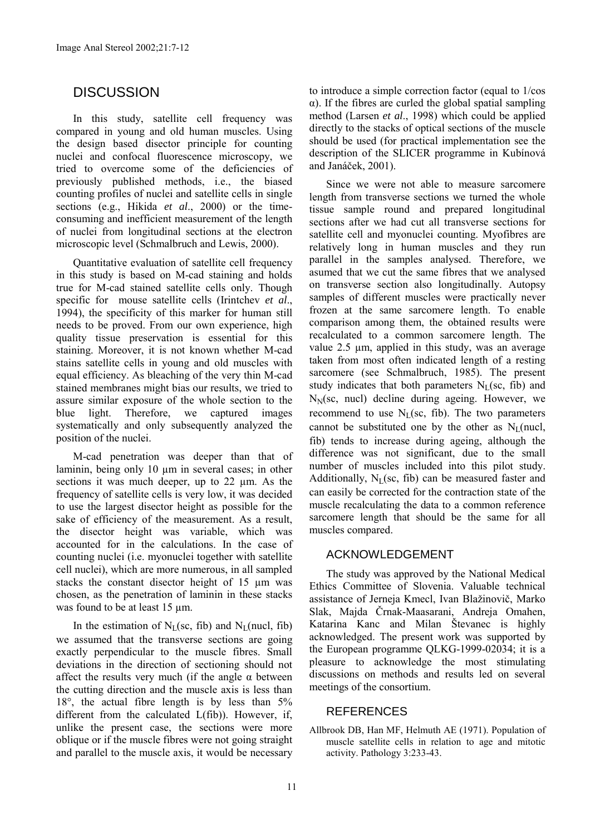## **DISCUSSION**

In this study, satellite cell frequency was compared in young and old human muscles. Using the design based disector principle for counting nuclei and confocal fluorescence microscopy, we tried to overcome some of the deficiencies of previously published methods, i.e., the biased counting profiles of nuclei and satellite cells in single sections (e.g., Hikida *et al*., 2000) or the timeconsuming and inefficient measurement of the length of nuclei from longitudinal sections at the electron microscopic level (Schmalbruch and Lewis, 2000).

Quantitative evaluation of satellite cell frequency in this study is based on M-cad staining and holds true for M-cad stained satellite cells only. Though specific for mouse satellite cells (Irintchev *et al*., 1994), the specificity of this marker for human still needs to be proved. From our own experience, high quality tissue preservation is essential for this staining. Moreover, it is not known whether M-cad stains satellite cells in young and old muscles with equal efficiency. As bleaching of the very thin M-cad stained membranes might bias our results, we tried to assure similar exposure of the whole section to the blue light. Therefore, we captured images systematically and only subsequently analyzed the position of the nuclei.

M-cad penetration was deeper than that of laminin, being only 10 µm in several cases; in other sections it was much deeper, up to 22  $\mu$ m. As the frequency of satellite cells is very low, it was decided to use the largest disector height as possible for the sake of efficiency of the measurement. As a result, the disector height was variable, which was accounted for in the calculations. In the case of counting nuclei (i.e. myonuclei together with satellite cell nuclei), which are more numerous, in all sampled stacks the constant disector height of 15 µm was chosen, as the penetration of laminin in these stacks was found to be at least 15  $\mu$ m.

In the estimation of  $N_L$ (sc, fib) and  $N_L$ (nucl, fib) we assumed that the transverse sections are going exactly perpendicular to the muscle fibres. Small deviations in the direction of sectioning should not affect the results very much (if the angle  $\alpha$  between the cutting direction and the muscle axis is less than 18°, the actual fibre length is by less than 5% different from the calculated L(fib)). However, if, unlike the present case, the sections were more oblique or if the muscle fibres were not going straight and parallel to the muscle axis, it would be necessary to introduce a simple correction factor (equal to 1/cos α). If the fibres are curled the global spatial sampling method (Larsen *et al*., 1998) which could be applied directly to the stacks of optical sections of the muscle should be used (for practical implementation see the description of the SLICER programme in Kubínová and Janáček, 2001).

Since we were not able to measure sarcomere length from transverse sections we turned the whole tissue sample round and prepared longitudinal sections after we had cut all transverse sections for satellite cell and myonuclei counting. Myofibres are relatively long in human muscles and they run parallel in the samples analysed. Therefore, we asumed that we cut the same fibres that we analysed on transverse section also longitudinally. Autopsy samples of different muscles were practically never frozen at the same sarcomere length. To enable comparison among them, the obtained results were recalculated to a common sarcomere length. The value 2.5 µm, applied in this study, was an average taken from most often indicated length of a resting sarcomere (see Schmalbruch, 1985). The present study indicates that both parameters  $N_L$ (sc, fib) and  $N<sub>N</sub>(sc, nucl)$  decline during ageing. However, we recommend to use  $N<sub>L</sub>(sc, fib)$ . The two parameters cannot be substituted one by the other as  $N_L$ (nucl, fib) tends to increase during ageing, although the difference was not significant, due to the small number of muscles included into this pilot study. Additionally,  $N_L$ (sc, fib) can be measured faster and can easily be corrected for the contraction state of the muscle recalculating the data to a common reference sarcomere length that should be the same for all muscles compared.

#### ACKNOWLEDGEMENT

The study was approved by the National Medical Ethics Committee of Slovenia. Valuable technical assistance of Jerneja Kmecl, Ivan Blažinovič, Marko Slak, Majda Črnak-Maasarani, Andreja Omahen, Katarina Kanc and Milan Števanec is highly acknowledged. The present work was supported by the European programme QLKG-1999-02034; it is a pleasure to acknowledge the most stimulating discussions on methods and results led on several meetings of the consortium.

#### REFERENCES

Allbrook DB, Han MF, Helmuth AE (1971). Population of muscle satellite cells in relation to age and mitotic activity. Pathology 3:233-43.